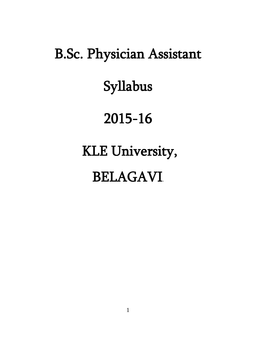# B.Sc. Physician Assistant

# Syllabus

# 2015-16

# KLE University,

# BELAGAVI.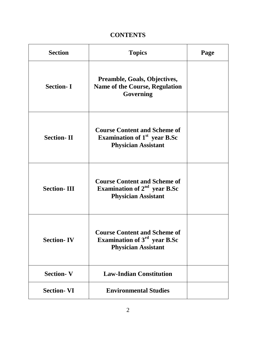# **CONTENTS**

| <b>Section</b>     | <b>Topics</b>                                                                                                 | Page |
|--------------------|---------------------------------------------------------------------------------------------------------------|------|
| <b>Section-I</b>   | <b>Preamble, Goals, Objectives,</b><br><b>Name of the Course, Regulation</b><br>Governing                     |      |
| <b>Section-II</b>  | <b>Course Content and Scheme of</b><br>Examination of 1 <sup>st</sup> year B.Sc<br><b>Physician Assistant</b> |      |
| <b>Section-III</b> | <b>Course Content and Scheme of</b><br>Examination of $2nd$ year B.Sc<br><b>Physician Assistant</b>           |      |
| <b>Section-IV</b>  | <b>Course Content and Scheme of</b><br>Examination of $3rd$ year B.Sc<br><b>Physician Assistant</b>           |      |
| <b>Section-V</b>   | <b>Law-Indian Constitution</b>                                                                                |      |
| <b>Section-VI</b>  | <b>Environmental Studies</b>                                                                                  |      |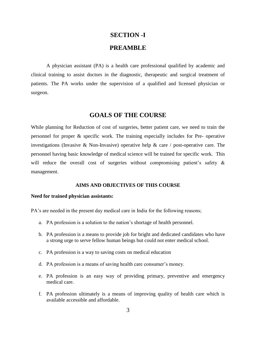# **SECTION -I PREAMBLE**

A physician assistant (PA) is a health care professional qualified by academic and clinical training to assist doctors in the diagnostic, therapeutic and surgical treatment of patients. The PA works under the supervision of a qualified and licensed physician or surgeon.

### **GOALS OF THE COURSE**

While planning for Reduction of cost of surgeries, better patient care, we need to train the personnel for proper & specific work. The training especially includes for Pre- operative investigations (Invasive & Non-Invasive) operative help & care / post-operative care. The personnel having basic knowledge of medical science will be trained for specific work. This will reduce the overall cost of surgeries without compromising patient's safety & management.

#### **AIMS AND OBJECTIVES OF THIS COURSE**

#### **Need for trained physician assistants:**

PA's are needed in the present day medical care in India for the following reasons;

- a. PA profession is a solution to the nation's shortage of health personnel.
- b. PA profession is a means to provide job for bright and dedicated candidates who have a strong urge to serve fellow human beings but could not enter medical school.
- c. PA profession is a way to saving costs on medical education
- d. PA profession is a means of saving health care consumer's money.
- e. PA profession is an easy way of providing primary, preventive and emergency medical care.
- f. PA profession ultimately is a means of improving quality of health care which is available accessible and affordable.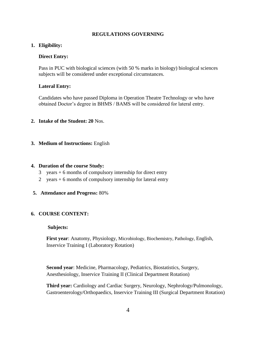#### **REGULATIONS GOVERNING**

#### **1. Eligibility:**

#### **Direct Entry:**

Pass in PUC with biological sciences (with 50 % marks in biology) biological sciences subjects will be considered under exceptional circumstances.

#### **Lateral Entry:**

Candidates who have passed Diploma in Operation Theatre Technology or who have obtained Doctor's degree in BHMS / BAMS will be considered for lateral entry.

#### **2. Intake of the Student: 20** Nos.

**3. Medium of Instructions:** English

#### **4. Duration of the course Study:**

- $3$  years  $+ 6$  months of compulsory internship for direct entry
- 2 years + 6 months of compulsory internship for lateral entry
- **5. Attendance and Progress:** 80%

#### **6. COURSE CONTENT:**

#### **Subjects:**

**First year**: Anatomy, Physiology, Microbiology, Biochemistry, Pathology, English, Inservice Training I (Laboratory Rotation)

**Second year**: Medicine, Pharmacology, Pediatrics, Biostatistics, Surgery, Anesthesiology, Inservice Training II (Clinical Department Rotation)

**Third year:** Cardiology and Cardiac Surgery, Neurology, Nephrology/Pulmonology, Gastroenterology/Orthopaedics, Inservice Training III (Surgical Department Rotation)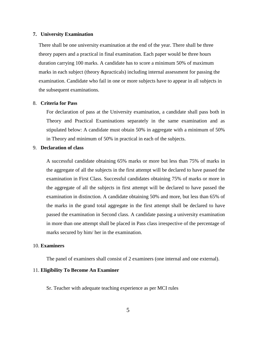#### **7. University Examination**

There shall be one university examination at the end of the year. There shall be three theory papers and a practical in final examination. Each paper would be three hours duration carrying 100 marks. A candidate has to score a minimum 50% of maximum marks in each subject (theory &practicals) including internal assessment for passing the examination. Candidate who fail in one or more subjects have to appear in all subjects in the subsequent examinations.

#### 8. **Criteria for Pass**

For declaration of pass at the University examination, a candidate shall pass both in Theory and Practical Examinations separately in the same examination and as stipulated below: A candidate must obtain 50% in aggregate with a minimum of 50% in Theory and minimum of 50% in practical in each of the subjects.

#### 9. **Declaration of class**

A successful candidate obtaining 65% marks or more but less than 75% of marks in the aggregate of all the subjects in the first attempt will be declared to have passed the examination in First Class. Successful candidates obtaining 75% of marks or more in the aggregate of all the subjects in first attempt will be declared to have passed the examination in distinction. A candidate obtaining 50% and more, but less than 65% of the marks in the grand total aggregate in the first attempt shall be declared to have passed the examination in Second class. A candidate passing a university examination in more than one attempt shall be placed in Pass class irrespective of the percentage of marks secured by him/ her in the examination.

#### 10. **Examiners**

The panel of examiners shall consist of 2 examiners (one internal and one external).

#### 11. **Eligibility To Become An Examiner**

Sr. Teacher with adequate teaching experience as per MCI rules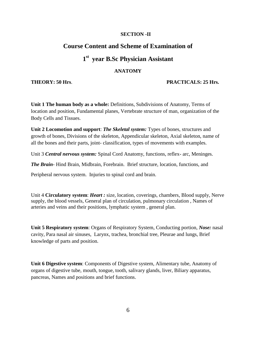#### **SECTION -II**

### **Course Content and Scheme of Examination of**

# **1 st year B.Sc Physician Assistant**

#### **ANATOMY**

#### **THEORY: 50 Hrs**. **PRACTICALS: 25 Hrs.**

**Unit 1 The human body as a whole:** Definitions, Subdivisions of Anatomy, Terms of location and position, Fundamental planes, Vertebrate structure of man, organization of the Body Cells and Tissues.

**Unit 2 Locomotion and support**: *The Skeletal system:* Types of bones, structures and growth of bones, Divisions of the skeleton, Appendicular skeleton, Axial skeleton, name of all the bones and their parts, joint- classification, types of movements with examples.

Unit 3 *Central nervous system:* Spinal Cord Anatomy, functions, reflex- arc, Meninges.

*The Brain-* Hind Brain, Midbrain, Forebrain. Brief structure, location, functions, and

Peripheral nervous system. Injuries to spinal cord and brain.

Unit 4 **Circulatory system**: *Heart :* size, location, coverings, chambers, Blood supply, Nerve supply, the blood vessels, General plan of circulation, pulmonary circulation , Names of arteries and veins and their positions, lymphatic system , general plan.

**Unit 5 Respiratory system**: Organs of Respiratory System, Conducting portion, *Nose:* nasal cavity, Para nasal air sinuses, Larynx, trachea, bronchial tree, Pleurae and lungs, Brief knowledge of parts and position.

**Unit 6 Digestive system**: Components of Digestive system, Alimentary tube, Anatomy of organs of digestive tube, mouth, tongue, tooth, salivary glands, liver, Biliary apparatus, pancreas, Names and positions and brief functions.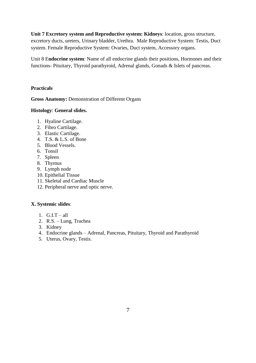**Unit 7 Excretory system and Reproductive system: Kidneys**: location, gross structure, excretory ducts, ureters, Urinary bladder, Urethra. Male Reproductive System: Testis, Duct system. Female Reproductive System: Ovaries, Duct system, Accessory organs.

Unit 8 E**ndocrine system**: Name of all endocrine glands their positions, Hormones and their functions- Pituitary, Thyroid parathyroid, Adrenal glands, Gonads & Islets of pancreas.

### **Practicals**

**Gross Anatomy:** Demonstration of Different Organs

### **Histology**: **General slides.**

- 1. Hyaline Cartilage.
- 2. Fibro Cartilage.
- 3. Elastic Cartilage.
- 4. T.S. & L.S. of Bone
- 5. Blood Vessels.
- 6. Tonsil
- 7. Spleen
- 8. Thymus
- 9. Lymph node
- 10. Epithelial Tissue
- 11. Skeletal and Cardiac Muscle
- 12. Peripheral nerve and optic nerve.

### **X. Systemic slides**:

- 1.  $G.I.T all$
- 2. R.S. Lung, Trachea
- 3. Kidney
- 4. Endocrine glands Adrenal, Pancreas, Pituitary, Thyroid and Parathyroid
- 5. Uterus, Ovary, Testis.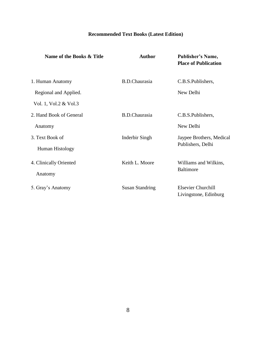# **Recommended Text Books (Latest Edition)**

| Name of the Books & Title | <b>Author</b>          | <b>Publisher's Name,</b><br><b>Place of Publication</b> |
|---------------------------|------------------------|---------------------------------------------------------|
| 1. Human Anatomy          | <b>B.D.Chaurasia</b>   | C.B.S.Publishers,                                       |
| Regional and Applied.     |                        | New Delhi                                               |
| Vol. 1, Vol.2 & Vol.3     |                        |                                                         |
| 2. Hand Book of General   | <b>B.D.Chaurasia</b>   | C.B.S.Publishers,                                       |
| Anatomy                   |                        | New Delhi                                               |
| 3. Text Book of           | Inderbir Singh         | Jaypee Brothers, Medical                                |
| Human Histology           |                        | Publishers, Delhi                                       |
| 4. Clinically Oriented    | Keith L. Moore         | Williams and Wilkins,                                   |
| Anatomy                   |                        | <b>Baltimore</b>                                        |
| 5. Gray's Anatomy         | <b>Susan Standring</b> | <b>Elsevier Churchill</b><br>Livingstone, Edinburg      |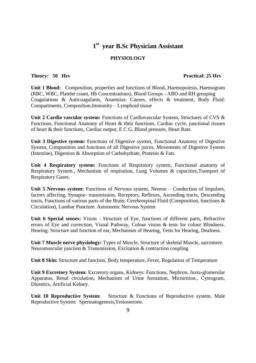#### **1 st year B.Sc Physician Assistant**

### **PHYSIOLOGY**

#### **Theory: 50 Hrs Practical: 25 Hrs**

**Unit 1 Blood:** Composition, properties and functions of Blood, Haemopoiesis, Haemogram (RBC, WBC, Platelet count, Hb Concentrations), Blood Groups - ABO and RH grouping Coagulations & Anticoagulants, Anaemias: Causes, effects & treatment, Body Fluid: Compartments, Composition,Immunity – Lymphoid tissue

**Unit 2 Cardio vascular system:** Functions of Cardiovascular System, Structures of CVS & Functions, Functional Anatomy of Heart & their functions, Cardiac cycle, junctional tissues of heart & their functions, Cardiac output, E C G, Blood pressure, Heart Rate.

**Unit 3 Digestive system:** Functions of Digestive system, Functional Anatomy of Digestive System, Composition and functions of all Digestive juices, Movements of Digestive System (Intestine), Digestion & Absorption of Carbohydrate, Proteins & Fats.

**Unit 4 Respiratory system:** Functions of Respiratory system, Functional anatomy of Respiratory System., Mechanism of respiration, Lung Volumes & capacities,Transport of Respiratory Gases.

Unit 5 Nervous system: Functions of Nervous system, Neuron – Conduction of Impulses, factors affecting, Synapse- transmission, Receptors, Reflexes, Ascending tracts, Descending tracts, Functions of various parts of the Brain, Cerebrospinal Fluid (Composition, functions & Circulation), Lumbar Puncture. Autonomic Nervous System

**Unit 6 Special senses:** Vision - Structure of Eye, functions of different parts, Refractive errors of Eye and correction, Visual Pathway, Colour vision & tests for colour Blindness. Hearing: Structure and function of ear, Mechanism of Hearing, Tests for Hearing, Deafness.

**Unit 7 Muscle nerve physiology:** Types of Muscle, Structure of skeletal Muscle, sarcomere. Neuromuscular junction & Transmission, Excitation & contraction coupling

**Unit 8 Skin:** Structure and function, Body temperature, Fever, Regulation of Temperature

**Unit 9 Excretory System:** Excretory organs, Kidneys: Functions, Nephron, Juxta-glomerular Apparatus, Renal circulation, Mechanism of Urine formation, Micturition., Cystogram, Diuretics, Artificial Kidney.

**Unit 10 Reproductive System:** Structure & Functions of Reproductive system. Male Reproductive System: Spermatogenesis,Testosterone.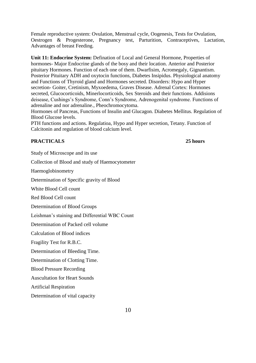Female reproductive system: Ovulation, Menstrual cycle, Oogenesis, Tests for Ovulation, Oestrogen & Progesterone, Pregnancy test, Parturition, Contraceptives, Lactation, Advantages of breast Feeding.

**Unit 11: Endocrine System:** Defination of Local and General Hormone, Properties of hormones- Major Endocrine glands of the bosy and their location. Anterior and Posterior pituitary Hormones. Function of each one of them. Dwarfisim, Acromegaly, Gignantism. Posterior Pituitary ADH and oxytocin functions, Diabetes Insipidus. Physiological anatomy and Functions of Thyroid gland and Hormones secreted. Disorders: Hypo and Hyper secretion- Goiter, Cretinism, Myxoedema, Graves Disease. Adrenal Cortex: Hormones secreted, Glucocorticoids, Minerlocorticoids, Sex Steroids and their functions. Addisions deisease, Cushings's Syndrome, Conn's Syndrome, Adrenogenital syndrome. Functions of adrenaline and nor adrenaline., Pheochromocytoma.

Hormones of Pancreas, Functions of Insulin and Glucagon. Diabetes Mellitus. Regulation of Blood Glucose levels.

PTH functions and actions. Regulatioa, Hypo and Hyper secretion, Tetany. Function of Calcitonin and regulation of blood calcium level.

### **PRACTICALS 25 hours**

Study of Microscope and its use

Collection of Blood and study of Haemocytometer

Haemoglobinometry

Determination of Specific gravity of Blood

White Blood Cell count

Red Blood Cell count

Determination of Blood Groups

Leishman's staining and Differential WBC Count

Determination of Packed cell volume

Calculation of Blood indices

Fragility Test for R.B.C.

Determination of Bleeding Time.

Determination of Clotting Time.

Blood Pressure Recording

Auscultation for Heart Sounds

Artificial Respiration

Determination of vital capacity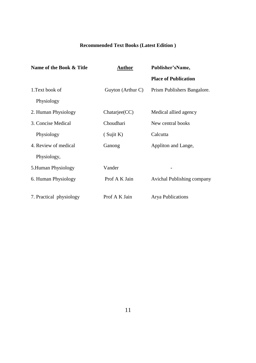# **Recommended Text Books (Latest Edition )**

| Name of the Book & Title | <b>Author</b>     | Publisher'sName,                  |  |
|--------------------------|-------------------|-----------------------------------|--|
|                          |                   | <b>Place of Publication</b>       |  |
| 1. Text book of          | Guyton (Arthur C) | Prism Publishers Bangalore.       |  |
| Physiology               |                   |                                   |  |
| 2. Human Physiology      | Chatarjee(CC)     | Medical allied agency             |  |
| 3. Concise Medical       | Choudhari         | New central books                 |  |
| Physiology               | (Sujit K)         | Calcutta                          |  |
| 4. Review of medical     | Ganong            | Appliton and Lange,               |  |
| Physiology,              |                   |                                   |  |
| 5. Human Physiology      | Vander            |                                   |  |
| 6. Human Physiology      | Prof A K Jain     | <b>Avichal Publishing company</b> |  |
| 7. Practical physiology  | Prof A K Jain     | <b>Arya Publications</b>          |  |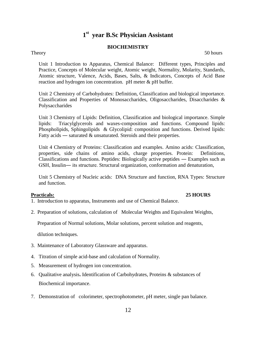# **1 st year B.Sc Physician Assistant**

#### **BIOCHEMISTRY**

Theory 50 hours

Unit 1 Introduction to Apparatus, Chemical Balance: Different types, Principles and Practice, Concepts of Molecular weight, Atomic weight, Normality, Molarity, Standards, Atomic structure, Valence, Acids, Bases, Salts, & Indicators, Concepts of Acid Base reaction and hydrogen ion concentration. pH meter & pH buffer.

Unit 2 Chemistry of Carbohydrates: Definition, Classification and biological importance. Classification and Properties of Monosaccharides, Oligosaccharides, Disaccharides & Polysaccharides

Unit 3 Chemistry of Lipids: Definition, Classification and biological importance. Simple lipids: Triacylglycerols and waxes-composition and functions. Compound lipids: Phospholipids, Sphingolipids & Glycolipid: composition and functions. Derived lipids: Fatty acids — saturated & unsaturated. Steroids and their properties.

Unit 4 Chemistry of Proteins: Classification and examples. Amino acids: Classification, properties, side chains of amino acids, charge properties. Protein: Definitions, Classifications and functions. Peptides: Biologically active peptides **―** Examples such as GSH, Insulin― its structure. Structural organization, conformation and denaturation,

Unit 5 Chemistry of Nucleic acids: DNA Structure and function, RNA Types: Structure and function.

#### **Practicals: 25 HOURS**

- 1. Introduction to apparatus, Instruments and use of Chemical Balance.
- 2. Preparation of solutions, calculation of Molecular Weights and Equivalent Weights,

Preparation of Normal solutions, Molar solutions, percent solution and reagents,

dilution techniques.

- 3. Maintenance of Laboratory Glassware and apparatus.
- 4. Titration of simple acid-base and calculation of Normality.
- 5. Measurement of hydrogen ion concentration.
- 6. Qualitative analysis**.** Identification of Carbohydrates, Proteins & substances of Biochemical importance.
- 7. Demonstration of colorimeter, spectrophotometer, pH meter, single pan balance.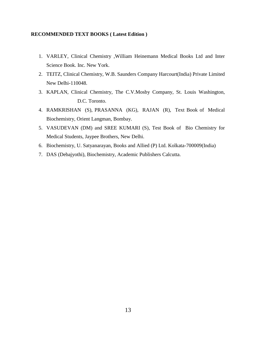#### **RECOMMENDED TEXT BOOKS ( Latest Edition )**

- 1. VARLEY, Clinical Chemistry ,William Heinemann Medical Books Ltd and Inter Science Book. Inc. New York.
- 2. TEITZ, Clinical Chemistry, W.B. Saunders Company Harcourt(India) Private Limited New Delhi-110048.
- 3. KAPLAN, Clinical Chemistry, The C.V.Mosby Company, St. Louis Washington, D.C. Toronto.
- 4. RAMKRISHAN (S), PRASANNA (KG), RAJAN (R), Text Book of Medical Biochemistry, Orient Langman, Bombay.
- 5. VASUDEVAN (DM) and SREE KUMARI (S), Test Book of Bio Chemistry for Medical Students, Jaypee Brothers, New Delhi.
- 6. Biochemistry, U. Satyanarayan, Books and Allied (P) Ltd. Kolkata-700009(India)
- 7. DAS (Debajyothi), Biochemistry, Academic Publishers Calcutta.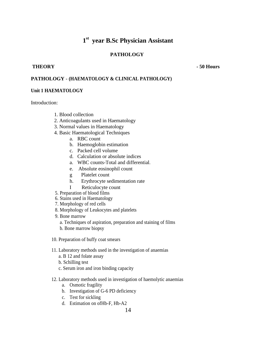# **1 st year B.Sc Physician Assistant**

### **PATHOLOGY**

#### **THEORY - 50 Hours**

#### **PATHOLOGY** - **(HAEMATOLOGY & CLINICAL PATHOLOGY)**

#### **Unit 1 HAEMATOLOGY**

Introduction:

- 1. Blood collection
- 2. Anticoagulants used in Haematology
- 3. Normal values in Haematology
- 4. Basic Haematological Techniques
	- a. RBC count
	- b. Haemoglobin estimation
	- c. Packed cell volume
	- d. Calculation or absolute indices
	- a. WBC counts-Total and differential.
	- e. Absolute eosinophil count
	- g Platelet count
	- h. Erythrocyte sedimentation rate
	- I Reticulocyte count
- 5. Preparation of blood films
- 6. Stains used in Haematology
- 7. Morphology of red cells
- 8. Morphology of Leukocytes and platelets
- 9. Bone marrow
	- a. Techniques of aspiration, preparation and staining of films
	- b. Bone marrow biopsy
- 10. Preparation of buffy coat smears
- 11. Laboratory methods used in the investigation of anaemias
	- a. B 12 and folate assay
	- b. Schilling test
	- c. Serum iron and iron binding capacity
- 12. Laboratory methods used in investigation of haemolytic anaemias
	- a. Osmotic fragility
	- b. Investigation of G-6 PD deficiency
	- c. Test for sickling
	- d. Estimation on ofHb-F, Hb-A2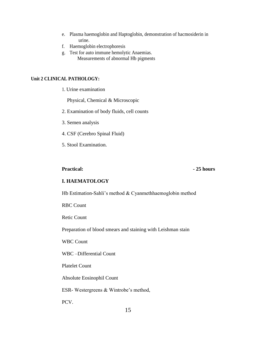- e. Plasma haemoglobin and Haptoglobin, demonstration of hacmosiderin in urine.
- f. Haemoglobin electrophoresis
- g. Test for auto immune hemolytic Anaemias. Measurements of abnormal Hb pigments

#### **Unit 2 CLINICAL PATHOLOGY:**

1. Urine examination

Physical, Chemical & Microscopic

- 2. Examination of body fluids, cell counts
- 3. Semen analysis
- 4. CSF (Cerebro Spinal Fluid)
- 5. Stool Examination.

#### **Practical:**  $\qquad \qquad -25 \text{ hours}$

#### **I. HAEMATOLOGY**

Hb Estimation-Sahli's method & Cyanmethhaemoglobin method

RBC Count

Retic Count

Preparation of blood smears and staining with Leishman stain

WBC Count

WBC –Differential Count

Platelet Count

Absolute Eosinophil Count

ESR- Westergreens & Wintrobe's method,

PCV.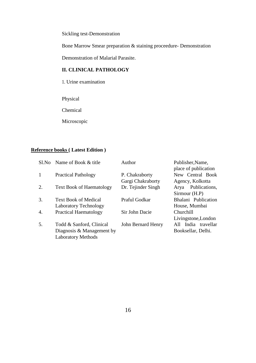Sickling test-Demonstration

Bone Marrow Smear preparation & staining proceedure- Demonstration

Demonstration of Malarial Parasite.

### **II. CLINICAL PATHOLOGY**

1. Urine examination

Physical

Chemical

Microscopic

# **Reference books ( Latest Edition )**

| S1.No            | Name of Book & title            | Author             | Publisher, Name,<br>place of publication |
|------------------|---------------------------------|--------------------|------------------------------------------|
| 1                | <b>Practical Pathology</b>      | P. Chakraborty     | New Central Book                         |
|                  |                                 | Gargi Chakraborty  | Agency, Kolkotta                         |
| 2.               | <b>Text Book of Haematology</b> | Dr. Tejinder Singh | Arya Publications,                       |
|                  |                                 |                    | Sirmour (H.P)                            |
| 3.               | <b>Text Book of Medical</b>     | Praful Godkar      | Bhalani Publication                      |
|                  | Laboratory Technology           |                    | House, Mumbai                            |
| $\overline{4}$ . | <b>Practical Haematology</b>    | Sir John Dacie     | Churchill                                |
|                  |                                 |                    | Livingstone, London                      |
| 5.               | Todd & Sanford, Clinical        | John Bernard Henry | All India travellar                      |
|                  | Diagnosis & Management by       |                    | Booksellar, Delhi.                       |
|                  | <b>Laboratory Methods</b>       |                    |                                          |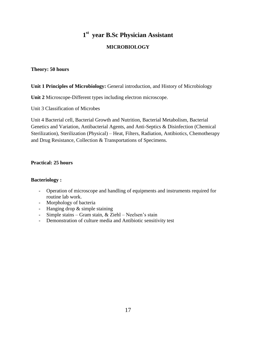# **1 st year B.Sc Physician Assistant**

### **MICROBIOLOGY**

#### **Theory: 50 hours**

#### **Unit 1 Principles of Microbiology:** General introduction, and History of Microbiology

**Unit 2** Microscope-Different types including electron microscope.

Unit 3 Classification of Microbes

Unit 4 Bacterial cell, Bacterial Growth and Nutrition, Bacterial Metabolism, Bacterial Genetics and Variation, Antibacterial Agents, and Anti-Septics & Disinfection (Chemical Sterilization), Sterilization (Physical) – Heat, Filters, Radiation, Antibiotics, Chemotherapy and Drug Resistance, Collection & Transportations of Specimens.

#### **Practical: 25 hours**

#### **Bacteriology :**

- Operation of microscope and handling of equipments and instruments required for routine lab work.
- Morphology of bacteria
- Hanging drop & simple staining
- Simple stains Gram stain, & Ziehl Neelsen's stain
- Demonstration of culture media and Antibiotic sensitivity test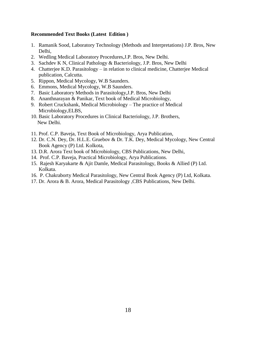#### **Recommended Text Books (Latest Edition )**

- 1. Ramanik Sood, Laboratory Technology (Methods and Interpretations) J.P. Bros, New Delhi,
- 2. Wedling Medical Laboratory Procedures,J.P. Bros, New Delhi.
- 3. Sachdev K N, Clinical Pathology & Bacteriology, J.P. Bros, New Delhi
- 4. Chatterjee K.D. Parasitology in relation to clinical medicine, Chatterjee Medical publication, Calcutta.
- 5. Rippon, Medical Mycology, W.B Saunders.
- 6. Emmons, Medical Mycology, W.B Saunders.
- 7. Basic Laboratory Methods in Parasitology,J.P. Bros, New Delhi
- 8. Ananthnarayan & Panikar, Text book of Medical Microbiology,
- 9. Robert Cruckshank, Medical Microbiology The practice of Medical Microbiology,ELBS,
- 10. Basic Laboratory Procedures in Clinical Bacteriology, J.P. Brothers, New Delhi.
- 11. Prof. C.P. Baveja, Text Book of Microbiology, Arya Publication,
- 12. Dr. C.N. Dey, Dr. H.L.E. Gruebov & Dr. T.K. Dey, Medical Mycology, New Central Book Agency (P) Ltd. Kolkota,
- 13. D.R. Arora Text book of Microbiology, CBS Publications, New Delhi,
- 14. Prof. C.P. Baveja, Practical Microbiology, Arya Publications.
- 15. Rajesh Karyakarte & Ajit Damle, Medical Parasitology, Books & Allied (P) Ltd. Kolkata.
- 16. P. Chakraborty Medical Parasitology, New Central Book Agency (P) Ltd, Kolkata.
- 17. Dr. Arora & B. Arora, Medical Parasitology ,CBS Publications, New Delhi.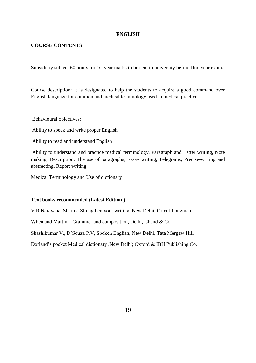#### **ENGLISH**

#### **COURSE CONTENTS:**

Subsidiary subject 60 hours for 1st year marks to be sent to university before IInd year exam.

Course description: It is designated to help the students to acquire a good command over English language for common and medical terminology used in medical practice.

Behavioural objectives:

Ability to speak and write proper English

Ability to read and understand English

Ability to understand and practice medical terminology, Paragraph and Letter writing, Note making, Description, The use of paragraphs, Essay writing, Telegrams, Precise-writing and abstracting, Report writing.

Medical Terminology and Use of dictionary

#### **Text books recommended (Latest Edition )**

V.R.Narayana, Sharma Strengthen your writing, New Delhi, Orient Longman

When and Martin – Grammer and composition, Delhi, Chand & Co.

Shashikumar V., D'Souza P.V, Spoken English, New Delhi, Tata Mergaw Hill

Dorland's pocket Medical dictionary ,New Delhi; Oxford & IBH Publishing Co.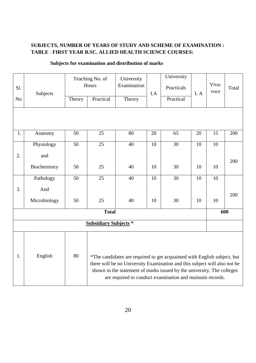### **SUBJECTS, NUMBER OF YEARS OF STUDY AND SCHEME OF EXAMINATION : TABLE** : **FIRST YEAR B.SC. ALLIED HEALTH SCIENCE COURSES:**

| S1.                                                                                                                                                                                                                                                                                                                 | Subjects     |        | Teaching No. of<br>Hours     | University<br>Examination | I.A | University<br>Practicals | I. A | Viva-<br>voce | Total |
|---------------------------------------------------------------------------------------------------------------------------------------------------------------------------------------------------------------------------------------------------------------------------------------------------------------------|--------------|--------|------------------------------|---------------------------|-----|--------------------------|------|---------------|-------|
| N <sub>o</sub>                                                                                                                                                                                                                                                                                                      |              | Theory | Practical                    | Theory                    |     | Practical                |      |               |       |
|                                                                                                                                                                                                                                                                                                                     |              |        |                              |                           |     |                          |      |               |       |
| 1.                                                                                                                                                                                                                                                                                                                  | Anatomy      | 50     | 25                           | 80                        | 20  | 65                       | 20   | 15            | 200   |
|                                                                                                                                                                                                                                                                                                                     | Physiology   | 50     | 25                           | 40                        | 10  | 30                       | 10   | 10            |       |
| 2.                                                                                                                                                                                                                                                                                                                  | and          |        |                              |                           |     |                          |      |               | 200   |
|                                                                                                                                                                                                                                                                                                                     | Biochemistry | 50     | 25                           | 40                        | 10  | 30                       | 10   | 10            |       |
|                                                                                                                                                                                                                                                                                                                     | Pathology    | 50     | 25                           | 40                        | 10  | 30                       | 10   | 10            |       |
| 3.                                                                                                                                                                                                                                                                                                                  | And          |        |                              |                           |     |                          |      |               | 200   |
|                                                                                                                                                                                                                                                                                                                     | Microbiology | 50     | 25                           | 40                        | 10  | 30                       | 10   | 10            |       |
|                                                                                                                                                                                                                                                                                                                     |              |        | <b>Total</b>                 |                           |     |                          |      | 600           |       |
|                                                                                                                                                                                                                                                                                                                     |              |        | <b>Subsidiary Subjects *</b> |                           |     |                          |      |               |       |
| 1.<br>80<br>English<br>*The candidates are required to get acquainted with English subject, but<br>there will be no University Examination and this subject will also not be<br>shown in the statement of marks issued by the university. The colleges<br>are required to conduct examination and maintain records. |              |        |                              |                           |     |                          |      |               |       |

### **Subjects for examination and distribution of marks**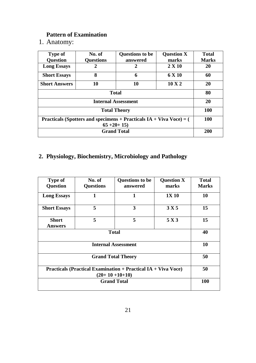# **Pattern of Examination**

1. Anatomy:

| <b>Type of</b><br><b>Question</b>                                                        | No. of<br><b>Questions</b> | <b>Questions to be</b><br>answered | <b>Question X</b><br>marks | <b>Total</b><br><b>Marks</b> |
|------------------------------------------------------------------------------------------|----------------------------|------------------------------------|----------------------------|------------------------------|
| <b>Long Essays</b>                                                                       | 2                          | 2                                  | $2 \times 10$              | 20                           |
| <b>Short Essays</b>                                                                      | 8                          | 6                                  | 6 X 10                     | 60                           |
| <b>Short Answers</b>                                                                     | 10                         | 10                                 | $10 \text{ X } 2$          | 20                           |
|                                                                                          | 80                         |                                    |                            |                              |
|                                                                                          | 20                         |                                    |                            |                              |
|                                                                                          | <b>100</b>                 |                                    |                            |                              |
| Practicals (Spotters and specimens + Practicals $IA + Viva\ Voce) = ($<br>$65 + 20 + 15$ |                            |                                    |                            | 100                          |
|                                                                                          | 200                        |                                    |                            |                              |

# **2. Physiology, Biochemistry, Microbiology and Pathology**

| <b>Type of</b><br><b>Question</b>                                    | No. of<br><b>Questions</b> | <b>Questions to be</b><br>answered | <b>Question X</b><br>marks | <b>Total</b><br><b>Marks</b> |
|----------------------------------------------------------------------|----------------------------|------------------------------------|----------------------------|------------------------------|
| <b>Long Essays</b>                                                   | 1                          | 1                                  | <b>1X 10</b>               | 10                           |
| <b>Short Essays</b>                                                  | 5                          | 3                                  | 3 X 5                      | 15                           |
| <b>Short</b><br><b>Answers</b>                                       | 5                          | 5                                  | 5 X 3                      | 15                           |
|                                                                      | 40                         |                                    |                            |                              |
|                                                                      | 10                         |                                    |                            |                              |
|                                                                      | 50                         |                                    |                            |                              |
| <b>Practicals (Practical Examination + Practical IA + Viva Voce)</b> | 50                         |                                    |                            |                              |
|                                                                      | 100                        |                                    |                            |                              |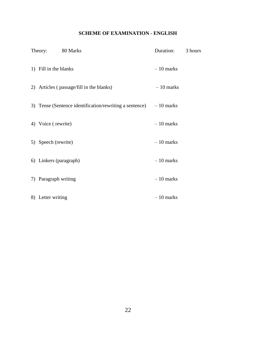### **SCHEME OF EXAMINATION - ENGLISH**

| Theory: 80 Marks                                                    | Duration:   | 3 hours |
|---------------------------------------------------------------------|-------------|---------|
| 1) Fill in the blanks                                               | $-10$ marks |         |
| 2) Articles (passage/fill in the blanks)                            | $-10$ marks |         |
| 3) Tense (Sentence identification/rewriting a sentence) $-10$ marks |             |         |
| 4) Voice (rewrite)                                                  | $-10$ marks |         |
| 5) Speech (rewrite)                                                 | $-10$ marks |         |
| 6) Linkers (paragraph)                                              | $-10$ marks |         |
| 7) Paragraph writing                                                | $-10$ marks |         |
| 8) Letter writing                                                   | $-10$ marks |         |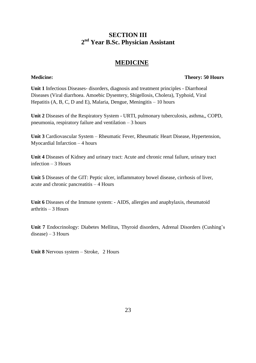## **SECTION III 2 nd Year B.Sc. Physician Assistant**

## **MEDICINE**

#### **Medicine: Theory: 50 Hours**

**Unit 1** Infectious Diseases- disorders, diagnosis and treatment principles - Diarrhoeal Diseases (Viral diarrhoea. Amoebic Dysentery, Shigellosis, Cholera), Typhoid, Viral Hepatitis  $(A, B, C, D, A)$  and E), Malaria, Dengue, Meningitis – 10 hours

**Unit 2** Diseases of the Respiratory System - URTI, pulmonary tuberculosis, asthma,, COPD, pneumonia, respiratory failure and ventilation – 3 hours

**Unit 3** Cardiovascular System – Rheumatic Fever, Rheumatic Heart Disease, Hypertension, Myocardial Infarction – 4 hours

**Unit 4** Diseases of Kidney and urinary tract: Acute and chronic renal failure, urinary tract infection – 3 Hours

**Unit 5** Diseases of the GIT: Peptic ulcer, inflammatory bowel disease, cirrhosis of liver, acute and chronic pancreatitis – 4 Hours

**Unit 6** Diseases of the Immune system: - AIDS, allergies and anaphylaxis, rheumatoid arthritis – 3 Hours

**Unit 7** Endocrinology: Diabetes Mellitus, Thyroid disorders, Adrenal Disorders (Cushing's  $disease$ ) – 3 Hours

**Unit 8** Nervous system – Stroke, 2 Hours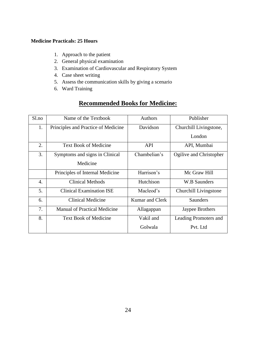### **Medicine Practicals: 25 Hours**

- 1. Approach to the patient
- 2. General physical examination
- 3. Examination of Cardiovascular and Respiratory System
- 4. Case sheet writing
- 5. Assess the communication skills by giving a scenario
- 6. Ward Training

# **Recommended Books for Medicine:**

| Sl.no | Name of the Textbook                | Authors         | Publisher               |
|-------|-------------------------------------|-----------------|-------------------------|
| 1.    | Principles and Practice of Medicine | Davidson        | Churchill Livingstone,  |
|       |                                     |                 | London                  |
| 2.    | <b>Text Book of Medicine</b>        | <b>API</b>      | API, Mumbai             |
| 3.    | Symptoms and signs in Clinical      | Chambelian's    | Ogilive and Christopher |
|       | Medicine                            |                 |                         |
|       | Principles of Internal Medicine     | Harrison's      | Mc Graw Hill            |
| 4.    | Clinical Methods                    | Hutchison       | <b>W.B Saunders</b>     |
| 5.    | <b>Clinical Examination ISE</b>     | Macleod's       | Churchill Livingstone   |
| 6.    | Clinical Medicine                   | Kumar and Clerk | Saunders                |
| 7.    | <b>Manual of Practical Medicine</b> | Allagappan      | Jaypee Brothers         |
| 8.    | <b>Text Book of Medicine</b>        | Vakil and       | Leading Promoters and   |
|       |                                     | Golwala         | Pvt. Ltd                |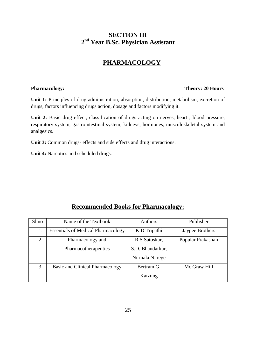# **SECTION III 2 nd Year B.Sc. Physician Assistant**

# **PHARMACOLOGY**

#### **Pharmacology:** Theory: 20 Hours

**Unit 1:** Principles of drug administration, absorption, distribution, metabolism, excretion of drugs, factors influencing drugs action, dosage and factors modifying it.

**Unit 2:** Basic drug effect, classification of drugs acting on nerves, heart , blood pressure, respiratory system, gastrointestinal system, kidneys, hormones, musculoskeletal system and analgesics.

**Unit 3:** Common drugs- effects and side effects and drug interactions.

**Unit 4:** Narcotics and scheduled drugs.

# **Recommended Books for Pharmacology:**

| $S1$ .no | Name of the Textbook                      | <b>Authors</b>   | Publisher         |
|----------|-------------------------------------------|------------------|-------------------|
| 1.       | <b>Essentials of Medical Pharmacology</b> | K.D Tripathi     | Jaypee Brothers   |
| 2.       | Pharmacology and                          | R.S Satoskar,    | Popular Prakashan |
|          | Pharmacotherapeutics                      | S.D. Bhandarkar, |                   |
|          |                                           | Nirmala N. rege  |                   |
| 3.       | Basic and Clinical Pharmacology           | Bertram G.       | Mc Graw Hill      |
|          |                                           | Katzung          |                   |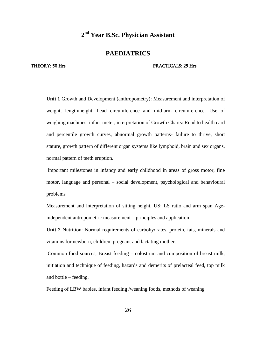#### **PAEDIATRICS**

#### THEORY: 50 Hrs. 25 Hrs. 25 Hrs. 25 Hrs. 25 Hrs. 25 Hrs. 25 Hrs. 25 Hrs. 25 Hrs. 25 Hrs. 25 Hrs. 25 Hrs. 25 Hrs. 25 Hrs. 26 Hrs. 26 Hrs. 26 Hrs. 26 Hrs. 26 Hrs. 26 Hrs. 26 Hrs. 26 Hrs. 26 Hrs. 26 Hrs. 26 Hrs. 26 Hrs. 26 Hrs

**Unit 1** Growth and Development (anthropometry): Measurement and interpretation of weight, length/height, head circumference and mid-arm circumference. Use of weighing machines, infant meter, interpretation of Growth Charts: Road to health card and percentile growth curves, abnormal growth patterns- failure to thrive, short stature, growth pattern of different organ systems like lymphoid, brain and sex organs, normal pattern of teeth eruption.

Important milestones in infancy and early childhood in areas of gross motor, fine motor, language and personal – social development, psychological and behavioural problems

Measurement and interpretation of sitting height, US: LS ratio and arm span Ageindependent antropometric measurement – principles and application

**Unit 2** Nutrition: Normal requirements of carbohydrates, protein, fats, minerals and vitamins for newborn, children, pregnant and lactating mother.

Common food sources, Breast feeding – colostrum and composition of breast milk, initiation and technique of feeding, hazards and demerits of prelacteal feed, top milk and bottle – feeding.

Feeding of LBW babies, infant feeding /weaning foods, methods of weaning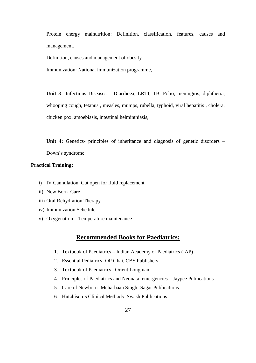Protein energy malnutrition: Definition, classification, features, causes and management.

Definition, causes and management of obesity

Immunization: National immunization programme,

**Unit 3** Infectious Diseases – Diarrhoea, LRTI, TB, Polio, meningitis, diphtheria, whooping cough, tetanus , measles, mumps, rubella, typhoid, viral hepatitis , cholera, chicken pox, amoebiasis, intestinal helminthiasis,

Unit 4: Genetics- principles of inheritance and diagnosis of genetic disorders – Down's syndrome

#### **Practical Training:**

- i) IV Cannulation, Cut open for fluid replacement
- ii) New Born Care
- iii) Oral Rehydration Therapy
- iv) Immunization Schedule
- v) Oxygenation Temperature maintenance

### **Recommended Books for Paediatrics:**

- 1. Textbook of Paediatrics Indian Academy of Paediatrics (IAP)
- 2. Essential Pediatrics- OP Ghai, CBS Publishers
- 3. Textbook of Paediatrics –Orient Longman
- 4. Principles of Paediatrics and Neonatal emergencies Jaypee Publications
- 5. Care of Newborn- Meharbaan Singh- Sagar Publications.
- 6. Hutchison's Clinical Methods- Swash Publications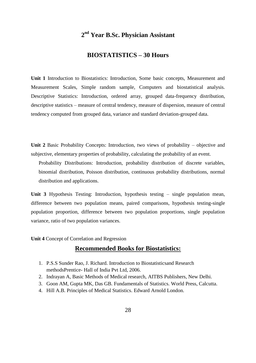### **BIOSTATISTICS – 30 Hours**

**Unit 1** Introduction to Biostatistics: Introduction, Some basic concepts, Measurement and Measurement Scales, Simple random sample, Computers and biostatistical analysis. Descriptive Statistics: Introduction, ordered array, grouped data-frequency distribution, descriptive statistics – measure of central tendency, measure of dispersion, measure of central tendency computed from grouped data, variance and standard deviation-grouped data.

**Unit 2** Basic Probability Concepts: Introduction, two views of probability – objective and subjective, elementary properties of probability, calculating the probability of an event.

Probability Distributions: Introduction, probability distribution of discrete variables, binomial distribution, Poisson distribution, continuous probability distributions, normal distribution and applications.

**Unit 3** Hypothesis Testing: Introduction, hypothesis testing – single population mean, difference between two population means, paired comparisons, hypothesis testing-single population proportion, difference between two population proportions, single population variance, ratio of two population variances.

**Unit 4** Concept of Correlation and Regression

### **Recommended Books for Biostatistics:**

- 1. P.S.S Sunder Rao, J. Richard. Introduction to Biostatisticsand Research methodsPrentice- Hall of India Pvt Ltd, 2006.
- 2. Indrayan A, Basic Methods of Medical research, AITBS Publishers, New Delhi.
- 3. Goon AM, Gupta MK, Das GB. Fundamentals of Statistics. World Press, Calcutta.
- 4. Hill A.B. Principles of Medical Statistics. Edward Arnold London.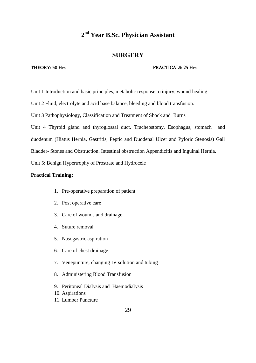### **SURGERY**

#### THEORY: 50 Hrs. 25 Hrs. 25 Hrs. 25 Hrs. 25 Hrs. 25 Hrs. 25 Hrs. 25 Hrs. 25 Hrs. 25 Hrs. 25 Hrs. 25 Hrs. 25 Hrs. 25 Hrs. 26 Hrs. 26 Hrs. 26 Hrs. 26 Hrs. 26 Hrs. 26 Hrs. 26 Hrs. 26 Hrs. 26 Hrs. 26 Hrs. 26 Hrs. 26 Hrs. 26 Hrs

Unit 1 Introduction and basic principles, metabolic response to injury, wound healing

Unit 2 Fluid, electrolyte and acid base balance, bleeding and blood transfusion.

Unit 3 Pathophysiology, Classification and Treatment of Shock and Burns

Unit 4 Thyroid gland and thyroglossal duct. Tracheostomy, Esophagus, stomach and duodenum (Hiatus Hernia, Gastritis, Peptic and Duodenal Ulcer and Pyloric Stenosis) Gall Bladder- Stones and Obstruction. Intestinal obstruction Appendicitis and Inguinal Hernia.

Unit 5: Benign Hypertrophy of Prostrate and Hydrocele

#### **Practical Training:**

- 1. Pre-operative preparation of patient
- 2. Post operative care
- 3. Care of wounds and drainage
- 4. Suture removal
- 5. Nasogastric aspiration
- 6. Care of chest drainage
- 7. Venepunture, changing IV solution and tubing
- 8. Administering Blood Transfusion
- 9. Peritoneal Dialysis and Haemodialysis
- 10. Aspirations
- 11. Lumber Puncture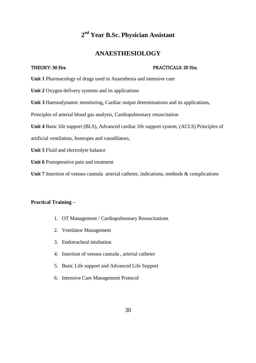## **ANAESTHESIOLOGY**

#### THEORY: 30 Hrs. 20 Hrs. 20 Hrs. 20 Hrs. 20 Hrs. 20 Hrs. 20 Hrs. 20 Hrs. 20 Hrs. 20 Hrs. 20 Hrs. 20 Hrs. 20 Hrs. 20 Hrs. 20 Hrs. 20 Hrs. 20 Hrs. 20 Hrs. 20 Hrs. 20 Hrs. 20 Hrs. 20 Hrs. 20 Hrs. 20 Hrs. 20 Hrs. 20 Hrs. 20 Hrs

**Unit 1** Pharmacology of drugs used in Anaesthesia and intensive care

**Unit 2** Oxygen delivery systems and its applications

**Unit 3** Haemodynamic monitoring, Cardiac output determinations and its applications,

Principles of arterial blood gas analysis, Cardiopulmonary resuscitation

**Unit 4** Basic life support (BLS), Advanced cardiac life support system, (ACLS) Principles of

artificial ventilation, Inotropes and vasodilators,

**Unit 5** Fluid and electrolyte balance

**Unit 6** Postoperative pain and treatment

Unit 7 Insertion of venous cannula arterial catheter, indications, methods & complications

### **Practical Training –**

- 1. OT Management / Cardiopulmonary Resuscitations
- 2. Ventilator Management
- 3. Endotracheal intubation
- 4. Insertion of venous cannula , arterial catheter
- 5. Basic Life support and Advanced Life Support
- 6. Intensive Care Management Protocol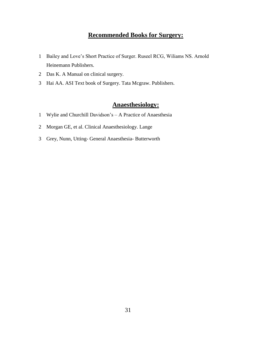# **Recommended Books for Surgery:**

- Bailey and Love's Short Practice of Surger. Ruseel RCG, Wiliams NS. Arnold Heinemann Publishers.
- Das K. A Manual on clinical surgery.
- Hai AA. ASI Text book of Surgery. Tata Mcgraw. Publishers.

# **Anaesthesiology:**

- Wylie and Churchill Davidson's A Practice of Anaesthesia
- Morgan GE, et al. Clinical Anaesthesiology. Lange
- Grey, Nunn, Utting- General Anaesthesia- Butterworth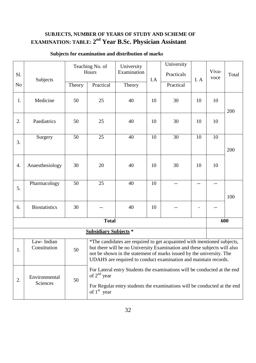# **SUBJECTS, NUMBER OF YEARS OF STUDY AND SCHEME OF EXAMINATION: TABLE: 2 nd Year B.Sc. Physician Assistant**

| Sl.            | Subjects                                                                                                                                                                                                                                                                                                                           |        | Teaching No. of<br>Hours     | University<br>Examination | I.A | University<br>Practicals | I. A | Viva-<br>voce | Total |
|----------------|------------------------------------------------------------------------------------------------------------------------------------------------------------------------------------------------------------------------------------------------------------------------------------------------------------------------------------|--------|------------------------------|---------------------------|-----|--------------------------|------|---------------|-------|
| N <sub>o</sub> |                                                                                                                                                                                                                                                                                                                                    | Theory | Practical                    | Theory                    |     | Practical                |      |               |       |
| 1.             | Medicine                                                                                                                                                                                                                                                                                                                           | 50     | 25                           | 40                        | 10  | 30                       | 10   | 10            | 200   |
| 2.             | Paediatrics                                                                                                                                                                                                                                                                                                                        | 50     | 25                           | 40                        | 10  | 30                       | 10   | 10            |       |
| 3.             | Surgery                                                                                                                                                                                                                                                                                                                            | 50     | 25                           | 40                        | 10  | 30                       | 10   | 10            | 200   |
| 4.             | Anaesthesiology                                                                                                                                                                                                                                                                                                                    | 30     | 20                           | 40                        | 10  | 30                       | 10   | 10            |       |
| 5.             | Pharmacology                                                                                                                                                                                                                                                                                                                       | 50     | 25                           | 40                        | 10  | $-$                      | --   | --            | 100   |
| 6.             | <b>Biostatistics</b>                                                                                                                                                                                                                                                                                                               | 30     |                              | 40                        | 10  |                          |      | $- -$         |       |
|                |                                                                                                                                                                                                                                                                                                                                    |        | <b>Total</b>                 |                           |     |                          |      |               | 600   |
|                |                                                                                                                                                                                                                                                                                                                                    |        | <b>Subsidiary Subjects</b> * |                           |     |                          |      |               |       |
| 1.             | Law-Indian<br>*The candidates are required to get acquainted with mentioned subjects,<br>but there will be no University Examination and these subjects will also<br>Constitution<br>50<br>not be shown in the statement of marks issued by the university. The<br>UDAHS are required to conduct examination and maintain records. |        |                              |                           |     |                          |      |               |       |
| 2.             | For Lateral entry Students the examinations will be conducted at the end<br>of $2^{nd}$ year<br>Environmental<br>50<br>Sciences<br>For Regular entry students the examinations will be conducted at the end                                                                                                                        |        |                              |                           |     |                          |      |               |       |
|                |                                                                                                                                                                                                                                                                                                                                    |        | of $1st$ year                |                           |     |                          |      |               |       |

# **Subjects for examination and distribution of marks**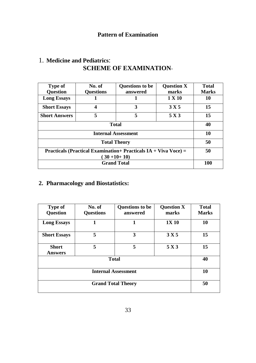| <b>Type of</b><br><b>Question</b>                                                      | No. of<br><b>Questions</b> | <b>Questions to be</b><br>answered | <b>Question X</b><br>marks | <b>Total</b><br><b>Marks</b> |
|----------------------------------------------------------------------------------------|----------------------------|------------------------------------|----------------------------|------------------------------|
| <b>Long Essays</b>                                                                     |                            |                                    | 1 X 10                     | 10                           |
| <b>Short Essays</b>                                                                    | 4                          | 3                                  | 3 X 5                      | 15                           |
| <b>Short Answers</b>                                                                   | 5                          | 5                                  | 5 X 3                      | 15                           |
|                                                                                        | 40                         |                                    |                            |                              |
|                                                                                        | 10                         |                                    |                            |                              |
|                                                                                        | 50                         |                                    |                            |                              |
| <b>Practicals (Practical Examination+ Practicals IA + Viva Voce) =</b><br>$(30+10+10)$ |                            |                                    |                            | 50                           |
|                                                                                        |                            |                                    |                            |                              |
|                                                                                        | 100                        |                                    |                            |                              |

# 1. **Medicine and Pediatrics**: **SCHEME OF EXAMINATION**-

# **2. Pharmacology and Biostatistics:**

| <b>Type of</b><br><b>Question</b> | No. of<br><b>Questions</b> | <b>Questions to be</b><br>answered | <b>Question X</b><br>marks | <b>Total</b><br><b>Marks</b> |
|-----------------------------------|----------------------------|------------------------------------|----------------------------|------------------------------|
| <b>Long Essays</b>                | 1                          | 1                                  | <b>1X 10</b>               | 10                           |
| <b>Short Essays</b>               | 5                          | 3                                  | 3 X 5                      | 15                           |
| <b>Short</b><br><b>Answers</b>    | 5                          | 5                                  | 5 X3                       | 15                           |
|                                   | 40                         |                                    |                            |                              |
|                                   | 10                         |                                    |                            |                              |
|                                   | 50                         |                                    |                            |                              |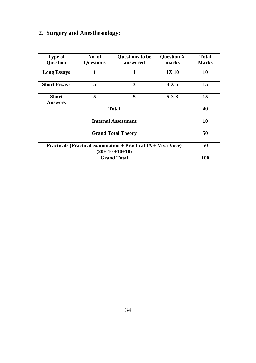# **2. Surgery and Anesthesiology:**

| <b>Type of</b><br><b>Question</b>                                    | No. of<br><b>Questions</b> | <b>Questions to be</b><br>answered | <b>Question X</b><br>marks | <b>Total</b><br><b>Marks</b> |  |
|----------------------------------------------------------------------|----------------------------|------------------------------------|----------------------------|------------------------------|--|
| <b>Long Essays</b>                                                   | 1                          | 1                                  | 1X 10                      | 10                           |  |
| <b>Short Essays</b>                                                  | 5                          | 3                                  | 3 X 5                      | 15                           |  |
| <b>Short</b><br><b>Answers</b>                                       | 5                          | 5                                  | 5 X 3                      | 15                           |  |
|                                                                      | 40                         |                                    |                            |                              |  |
|                                                                      | <b>Internal Assessment</b> |                                    |                            |                              |  |
|                                                                      | <b>Grand Total Theory</b>  |                                    |                            |                              |  |
| <b>Practicals (Practical examination + Practical IA + Viva Voce)</b> | 50                         |                                    |                            |                              |  |
|                                                                      | <b>100</b>                 |                                    |                            |                              |  |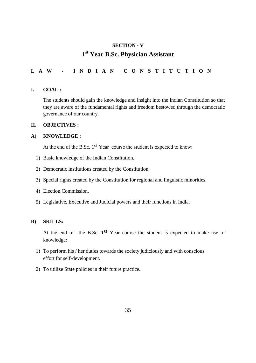# **SECTION - V 1 st Year B.Sc. Physician Assistant**

### **L A W - I N D I A N C O N S T I T U T I O N**

#### **I. GOAL :**

The students should gain the knowledge and insight into the Indian Constitution so that they are aware of the fundamental rights and freedom bestowed through the democratic governance of our country.

#### **II. OBJECTIVES :**

#### **A) KNOWLEDGE :**

At the end of the B.Sc. 1<sup>st</sup> Year course the student is expected to know:

- 1) Basic knowledge of the Indian Constitution.
- 2) Democratic institutions created by the Constitution.
- 3) Special rights created by the Constitution for regional and linguistic minorities.
- 4) Election Commission.
- 5) Legislative, Executive and Judicial powers and their functions in India.

#### **B) SKILLS:**

At the end of the B.Sc. 1<sup>st</sup> Year course the student is expected to make use of knowledge:

- 1) To perform his / her duties towards the society judiciously and with conscious effort for self-development.
- 2) To utilize State policies in their future practice.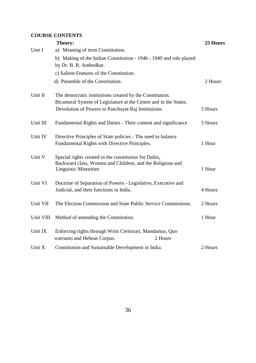### **COURSE CONTENTS**

|           | Theory:                                                                                                                                             | 25 Hours |
|-----------|-----------------------------------------------------------------------------------------------------------------------------------------------------|----------|
| Unit I    | a) Meaning of term Constitution.                                                                                                                    |          |
|           | b) Making of the Indian Constitution - 1946 - 1949 and role played<br>by Dr. B. R. Ambedkar.                                                        |          |
|           | c) Salient Features of the Constitution.                                                                                                            |          |
|           | d) Preamble of the Constitution.                                                                                                                    | 2 Hours  |
| Unit II   | The democratic institutions created by the Constitution.<br>Bicameral System of Legislature at the Centre and in the States.                        |          |
|           | Devolution of Powers to Panchayat Raj Institutions.                                                                                                 | 5 Hours  |
| Unit III  | Fundamental Rights and Duties - Their content and significance                                                                                      | 5 Hours  |
| Unit IV   | Directive Principles of State policies - The need to balance<br>Fundamental Rights with Directive Principles.                                       | 1 Hour   |
| Unit V    | Special rights created in the constitution for Dalits,<br>Backward class, Women and Children, and the Religious and<br><b>Linguistic Minorities</b> | 1 Hour   |
| Unit VI   | Doctrine of Separation of Powers - Legislative, Executive and<br>Judicial, and their functions in India.                                            | 4 Hours  |
| Unit VII  | The Election Commission and State Public Service Commissions.                                                                                       | 2 Hours  |
| Unit VIII | Method of amending the Constitution.                                                                                                                | 1 Hour   |
| Unit IX   | Enforcing rights through Writs Certiorari, Mandamus, Quo<br>2 Hours<br>warranto and Hebeas Corpus.                                                  |          |
| Unit X    | Constitution and Sustainable Development in India.                                                                                                  | 2 Hours  |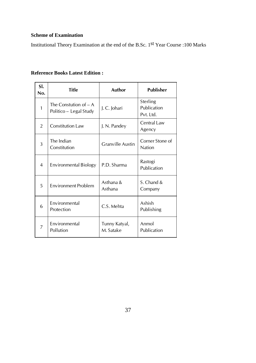### **Scheme of Examination**

Institutional Theory Examination at the end of the B.Sc. 1st Year Course :100 Marks

### **Reference Books Latest Edition :**

| SI.<br>No.     | <b>Title</b>                                     | <b>Author</b>              | <b>Publisher</b>                     |
|----------------|--------------------------------------------------|----------------------------|--------------------------------------|
| $\mathbf{1}$   | The Constution of $-A$<br>Politico – Legal Study | J.C. Johari                | Sterling<br>Publication<br>Pvt. Ltd. |
| $\overline{2}$ | <b>Constitution Law</b>                          | J. N. Pandey               | <b>Central Law</b><br>Agency         |
| 3              | The Indian<br>Constitution                       | <b>Granville Austin</b>    | Corner Stone of<br><b>Nation</b>     |
| 4              | <b>Environmental Biology</b>                     | P.D. Sharma                | Rastogi<br>Publication               |
| 5              | Environment Problem                              | Asthana &<br>Asthana       | S. Chand &<br>Company                |
| 6              | Environmental<br>Protection                      | C.S. Mehta                 | Ashish<br>Publishing                 |
| 7              | Environmental<br>Pollution                       | Tunny Katyal,<br>M. Satake | Anmol<br>Publication                 |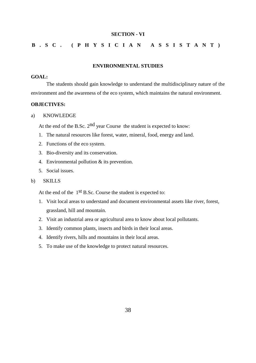#### **SECTION - VI**

### **B . S C . ( P H Y S I C I A N A S S I S T A N T )**

#### **ENVIRONMENTAL STUDIES**

#### **GOAL:**

The students should gain knowledge to understand the multidisciplinary nature of the environment and the awareness of the eco system, which maintains the natural environment.

#### **OBJECTIVES:**

a) KNOWLEDGE

At the end of the B.Sc.  $2<sup>nd</sup>$  year Course the student is expected to know:

- 1. The natural resources like forest, water, mineral, food, energy and land.
- 2. Functions of the eco system.
- 3. Bio-diversity and its conservation.
- 4. Environmental pollution & its prevention.
- 5. Social issues.

#### b) SKILLS

At the end of the 1<sup>st</sup> B.Sc. Course the student is expected to:

- 1. Visit local areas to understand and document environmental assets like river, forest, grassland, hill and mountain.
- 2. Visit an industrial area or agricultural area to know about local pollutants.
- 3. Identify common plants, insects and birds in their local areas.
- 4. Identify rivers, hills and mountains in their local areas.
- 5. To make use of the knowledge to protect natural resources.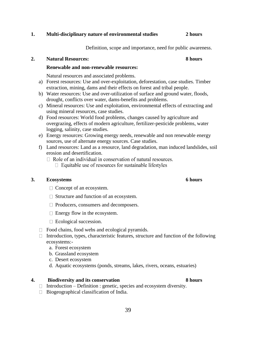### **1. Multi-disciplinary nature of environmental studies 2 hours**

Definition, scope and importance, need for public awareness.

#### **2. Natural Resources: 8 hours**

#### **Renewable and non-renewable resources:**

Natural resources and associated problems.

- a) Forest resources: Use and over-exploitation, deforestation, case studies. Timber extraction, mining, dams and their effects on forest and tribal people.
- b) Water resources: Use and over-utilization of surface and ground water, floods, drought, conflicts over water, dams-benefits and problems.
- c) Mineral resources: Use and exploitation, environmental effects of extracting and using mineral resources, case studies.
- d) Food resources: World food problems, changes caused by agriculture and overgrazing, effects of modern agriculture, fertilizer-pesticide problems, water logging, salinity, case studies.
- e) Energy resources: Growing energy needs, renewable and non renewable energy sources, use of alternate energy sources. Case studies.
- f) Land resources: Land as a resource, land degradation, man induced landslides, soil erosion and desertification.
	- $\Box$  Role of an individual in conservation of natural resources.  $\Box$  Equitable use of resources for sustainable lifestyles

#### **3. Ecosystems 6 hours**

- $\Box$  Concept of an ecosystem.
- $\Box$  Structure and function of an ecosystem.
- □ Producers, consumers and decomposers.
- $\Box$  Energy flow in the ecosystem.
- □ Ecological succession.
- $\Box$  Food chains, food webs and ecological pyramids.
- $\Box$  Introduction, types, characteristic features, structure and function of the following ecosystems:
	- a. Forest ecosystem
	- b. Grassland ecosystem
	- c. Desert ecosystem
	- d. Aquatic ecosystems (ponds, streams, lakes, rivers, oceans, estuaries)

#### **4. Biodiversity and its conservation 8 hours**

- $\Box$  Introduction Definition : genetic, species and ecosystem diversity.
- $\Box$  Biogeographical classification of India.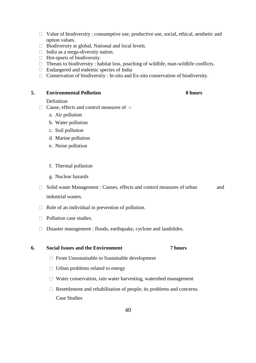- $\Box$  Value of biodiversity : consumptive use, productive use, social, ethical, aesthetic and option values.
- $\Box$  Biodiversity at global, National and local levels.
- $\Box$  India as a mega-diversity nation.
- □ Hot-sports of biodiversity.
- $\Box$  Threats to biodiversity : habitat loss, poaching of wildlife, man-wildlife conflicts.
- Endangered and endemic species of India
- $\Box$  Conservation of biodiversity : In-situ and Ex-situ conservation of biodiversity.

#### **5. Environmental Pollution 8 hours**

#### Definition

- $\Box$  Cause, effects and control measures of :
	- a. Air pollution
	- b. Water pollution
	- c. Soil pollution
	- d. Marine pollution
	- e. Noise pollution
	- f. Thermal pollution
	- g. Nuclear hazards
- $\Box$  Solid waste Management : Causes, effects and control measures of urban and industrial wastes.
- $\Box$  Role of an individual in prevention of pollution.
- $\Box$  Pollution case studies.
- Disaster management : floods, earthquake, cyclone and landslides.

**6. Social Issues and the Environment 7 hours**

- $\Box$  From Unsustainable to Sustainable development
- $\Box$  Urban problems related to energy
- $\Box$  Water conservation, rain water harvesting, watershed management
- $\Box$  Resettlement and rehabilitation of people; its problems and concerns. Case Studies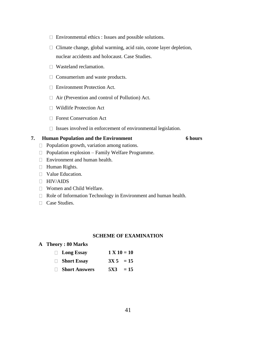- Environmental ethics : Issues and possible solutions.
- $\Box$  Climate change, global warming, acid rain, ozone layer depletion, nuclear accidents and holocaust. Case Studies.
- □ Wasteland reclamation.
- $\Box$  Consumerism and waste products.
- Environment Protection Act.
- □ Air (Prevention and control of Pollution) Act.
- Wildlife Protection Act
- □ Forest Conservation Act
- $\Box$  Issues involved in enforcement of environmental legislation.

#### **7. Human Population and the Environment 6 hours**

- $\Box$  Population growth, variation among nations.
- $\Box$  Population explosion Family Welfare Programme.
- **Environment and human health.**
- Human Rights.
- $\Box$  Value Education.
- HIV/AIDS
- Women and Child Welfare.
- □ Role of Information Technology in Environment and human health.
- □ Case Studies.

#### **SCHEME OF EXAMINATION**

#### **A Theory : 80 Marks**

| $\Box$ Long Essay    | $1 X 10 = 10$ |
|----------------------|---------------|
| □ Short Essay        | $3X\ 5 = 15$  |
| <b>Short Answers</b> | $5X3 = 15$    |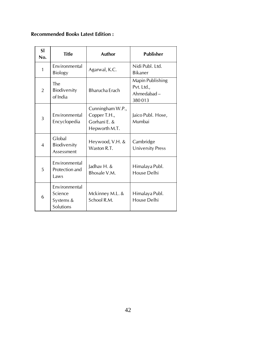# **Recommended Books Latest Edition :**

| <b>SI</b><br>No. | <b>Title</b>                                       | <b>Author</b>                                                     | <b>Publisher</b>                                              |
|------------------|----------------------------------------------------|-------------------------------------------------------------------|---------------------------------------------------------------|
| $\mathbf{1}$     | Environmental<br><b>Biology</b>                    | Agarwal, K.C.                                                     | Nidi Publ. Ltd.<br><b>Bikaner</b>                             |
| $\overline{2}$   | The<br>Biodiversity<br>of India                    | <b>Bharucha Erach</b>                                             | <b>Mapin Publishing</b><br>Pvt. Ltd.,<br>Ahmedabad-<br>380013 |
| 3                | Environmental<br>Encyclopedia                      | Cunningham W.P.,<br>Copper T.H.,<br>Gorhani E. &<br>Hepworth M.T. | Jaico Publ. Hose,<br>Mumbai                                   |
| $\overline{4}$   | Global<br>Biodiversity<br>Assessment               | Heywood, V.H. &<br>Waston R.T.                                    | Cambridge<br>University Press                                 |
| 5                | Environmental<br>Protection and<br>Laws            | Jadhav H. &<br>Bhosale V.M.                                       | Himalaya Publ.<br>House Delhi                                 |
| 6                | Environmental<br>Science<br>Systems &<br>Solutions | Mckinney M.L. &<br>School R.M.                                    | Himalaya Publ.<br><b>House Delhi</b>                          |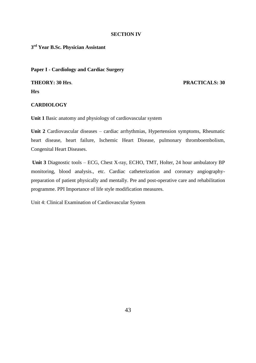#### **SECTION IV**

**3 rd Year B.Sc. Physician Assistant**

**Paper I - Cardiology and Cardiac Surgery**

**THEORY: 30 Hrs**. **PRACTICALS: 30 Hrs**

#### **CARDIOLOGY**

**Unit 1** Basic anatomy and physiology of cardiovascular system

**Unit 2** Cardiovascular diseases – cardiac arrhythmias, Hypertension symptoms, Rheumatic heart disease, heart failure, Ischemic Heart Disease, pulmonary thromboembolism, Congenital Heart Diseases.

**Unit 3** Diagnostic tools – ECG, Chest X-ray, ECHO, TMT, Holter, 24 hour ambulatory BP monitoring, blood analysis., etc. Cardiac catheterization and coronary angiographypreparation of patient physically and mentally. Pre and post-operative care and rehabilitation programme. PPI Importance of life style modification measures.

Unit 4: Clinical Examination of Cardiovascular System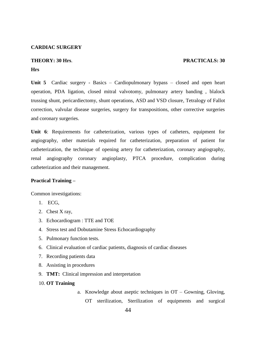#### **CARDIAC SURGERY**

#### **THEORY: 30 Hrs**. **PRACTICALS: 30**

#### **Hrs**

**Unit 5** Cardiac surgery - Basics – Cardiopulmonary bypass – closed and open heart operation, PDA ligation, closed mitral valvotomy, pulmonary artery banding , blalock trussing shunt, pericardiectomy, shunt operations, ASD and VSD closure, Tetralogy of Fallot correction, valvular disease surgeries, surgery for transpositions, other corrective surgeries and coronary surgeries.

**Unit 6**: Requirements for catheterization, various types of catheters, equipment for angiography, other materials required for catheterization, preparation of patient for catheterization, the technique of opening artery for catheterization, coronary angiography, renal angiography coronary angioplasty, PTCA procedure, complication during catheterization and their management.

#### **Practical Training –**

Common investigations:

- 1. ECG,
- 2. Chest X ray,
- 3. Echocardiogram : TTE and TOE
- 4. Stress test and Dobutamine Stress Echocardiography
- 5. Pulmonary function tests.
- 6. Clinical evaluation of cardiac patients, diagnosis of cardiac diseases
- 7. Recording patients data
- 8. Assisting in procedures
- 9. **TMT:** Clinical impression and interpretation
- 10. **OT Training**
- a. Knowledge about aseptic techniques in OT Gowning, Gloving, OT sterilization, Sterilization of equipments and surgical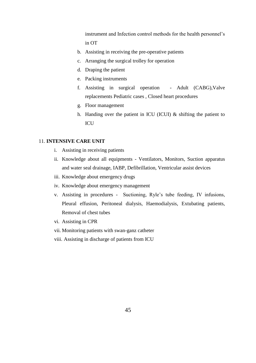instrument and Infection control methods for the health personnel's in OT

- b. Assisting in receiving the pre-operative patients
- c. Arranging the surgical trolley for operation
- d. Draping the patient
- e. Packing instruments
- f. Assisting in surgical operation Adult (CABG),Valve replacements Pediatric cases , Closed heart procedures
- g. Floor management
- h. Handing over the patient in ICU (ICUI) & shifting the patient to **ICU**

#### 11. **INTENSIVE CARE UNIT**

- i. Assisting in receiving patients
- ii. Knowledge about all equipments Ventilators, Monitors, Suction apparatus and water seal drainage, IABP, Defibrillation, Ventricular assist devices
- iii. Knowledge about emergency drugs
- iv. Knowledge about emergency management
- v. Assisting in procedures Suctioning, Ryle's tube feeding, IV infusions, Pleural effusion, Peritoneal dialysis, Haemodialysis, Extubating patients, Removal of chest tubes
- vi. Assisting in CPR
- vii. Monitoring patients with swan-ganz catheter
- viii. Assisting in discharge of patients from ICU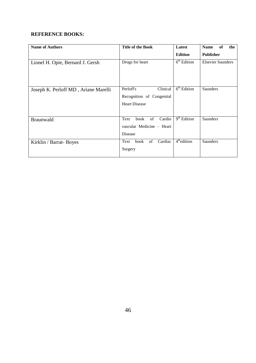### **REFERENCE BOOKS:**

| <b>Name of Authors</b>               | <b>Title of the Book</b>      | Latest                             | of<br>the<br><b>Name</b> |
|--------------------------------------|-------------------------------|------------------------------------|--------------------------|
|                                      |                               | <b>Edition</b>                     | <b>Publisher</b>         |
| Lionel H. Opie, Bernard J. Gersh     | Drugs for heart               | $\overline{6^{th}}$ Edition        | <b>Elsevier Saunders</b> |
|                                      |                               |                                    |                          |
|                                      |                               |                                    |                          |
|                                      |                               |                                    |                          |
| Joseph K. Perloff MD, Ariane Marelli | Clinical<br>Perloff's         | $\overline{6}^{\text{th}}$ Edition | Saunders                 |
|                                      | Recognition of Congenital     |                                    |                          |
|                                      | <b>Heart Disease</b>          |                                    |                          |
|                                      |                               |                                    |                          |
| Braunwald                            | Cardio<br>Text<br>book<br>of  | $\overline{9^{th}$ Edition         | Saunders                 |
|                                      | vascular Medicine - Heart     |                                    |                          |
|                                      | Disease                       |                                    |                          |
| Kirklin / Barrat- Boyes              | Cardiac<br>book<br>of<br>Text | $\overline{4}^{\text{th}}$ edition | Saunders                 |
|                                      | Surgery                       |                                    |                          |
|                                      |                               |                                    |                          |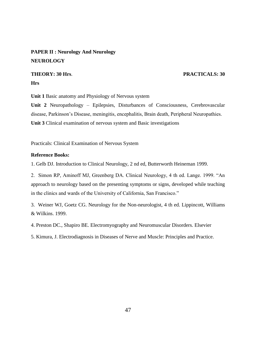## **PAPER II : Neurology And Neurology NEUROLOGY**

## **THEORY: 30 Hrs**. **PRACTICALS: 30 Hrs**

**Unit 1** Basic anatomy and Physiology of Nervous system

**Unit 2** Neuropathology – Epilepsies, Disturbances of Consciousness, Cerebrovascular disease, Parkinson's Disease, meningitis, encephalitis, Brain death, Peripheral Neuropathies. **Unit 3** Clinical examination of nervous system and Basic investigations

Practicals: Clinical Examination of Nervous System

#### **Reference Books:**

1. Gelb DJ. Introduction to Clinical Neurology, 2 nd ed, Butterworth Heineman 1999.

2. Simon RP, Aminoff MJ, Greenberg DA. Clinical Neurology, 4 th ed. Lange. 1999. "An approach to neurology based on the presenting symptoms or signs, developed while teaching in the clinics and wards of the University of California, San Francisco."

3. Weiner WJ, Goetz CG. Neurology for the Non-neurologist, 4 th ed. Lippincott, Williams & Wilkins. 1999.

4. Preston DC., Shapiro BE. Electromyography and Neuromuscular Disorders. Elsevier

5. Kimura, J. Electrodiagnosis in Diseases of Nerve and Muscle: Principles and Practice.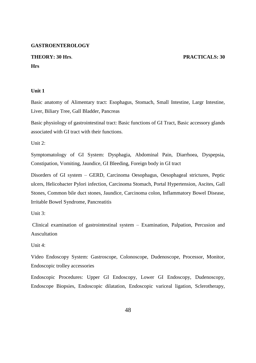#### **GASTROENTEROLOGY**

### **THEORY: 30 Hrs**. **PRACTICALS: 30 Hrs**

#### **Unit 1**

Basic anatomy of Alimentary tract: Esophagus, Stomach, Small Intestine, Largr Intestine, Liver, Biliary Tree, Gall Bladder, Pancreas

Basic physiology of gastrointestinal tract: Basic functions of GI Tract, Basic accessory glands associated with GI tract with their functions.

Unit  $2$ :

Symptomatology of GI System: Dysphagia, Abdominal Pain, Diarrhoea, Dyspepsia, Constipation, Vomiting, Jaundice, GI Bleeding, Foreign body in GI tract

Disorders of GI system – GERD, Carcinoma Oesophagus, Oesophageal strictures, Peptic ulcers, Helicobacter Pylori infection, Carcinoma Stomach, Portal Hypertension, Ascites, Gall Stones, Common bile duct stones, Jaundice, Carcinoma colon, Inflammatory Bowel Disease, Irritable Bowel Syndrome, Pancreatitis

Unit 3:

Clinical examination of gastrointestinal system – Examination, Palpation, Percusion and Auscultation

Unit 4:

Video Endoscopy System: Gastroscope, Colonoscope, Dudenoscope, Processor, Monitor, Endoscopic trolley accessories

Endoscopic Procedures: Upper GI Endoscopy, Lower GI Endoscopy, Dudenoscopy, Endoscope Biopsies, Endoscopic dilatation, Endoscopic variceal ligation, Sclerotherapy,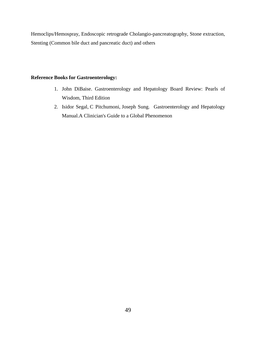Hemoclips/Hemospray, Endoscopic retrograde Cholangio-pancreatography, Stone extraction, Stenting (Common bile duct and pancreatic duct) and others

### **Reference Books for Gastroenterology:**

- 1. [John DiBaise.](https://www.mhprofessional.com/contributor.php?cat=116&id=47243) Gastroenterology and Hepatology Board Review: Pearls of Wisdom, Third Edition
- 2. [Isidor Segal,](https://www.mhprofessional.com/contributor.php?cat=116&id=51816) [C Pitchumoni,](https://www.mhprofessional.com/contributor.php?cat=116&id=51817) [Joseph Sung.](https://www.mhprofessional.com/contributor.php?cat=116&id=51818) [Gastroenterology and Hepatology](https://www.mhprofessional.com/product.php?cat=116&isbn=0070285578&cat=116)  [Manual.A](https://www.mhprofessional.com/product.php?cat=116&isbn=0070285578&cat=116) Clinician's Guide to a Global Phenomenon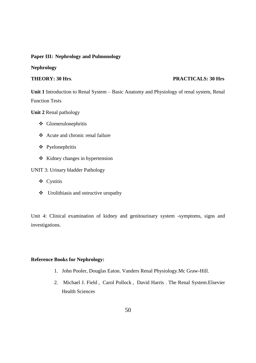#### **Paper III: Nephrology and Pulmonology**

**Nephrology**

#### **THEORY: 30 Hrs**. **PRACTICALS: 30 Hrs**

**Unit 1** Introduction to Renal System – Basic Anatomy and Physiology of renal system, Renal Function Tests

**Unit 2** Renal pathology

- Glomerulonephritis
- Acute and chronic renal failure
- Pyelonephritis
- $\div$  Kidney changes in hypertension

#### UNIT 3: Urinary bladder Pathology

- Cystitis
- $\triangleleft$  Urolithiasis and ostructive uropathy

Unit 4: Clinical examination of kidney and genitourinary system -symptoms, signs and investigations.

#### **Reference Books for Nephrology:**

- 1. [John Pooler,](https://www.mhprofessional.com/contributor.php?cat=116&id=37545) [Douglas Eaton.](https://www.mhprofessional.com/contributor.php?cat=116&id=47685) Vanders Renal Physiology.Mc Graw-Hill.
- 2. [Michael J. Field](http://www.bookdepository.com/author/Michael-J-Field) , [Carol Pollock](http://www.bookdepository.com/author/Carol-Pollock) , [David Harris](http://www.bookdepository.com/author/David-Harris) . The Renal System[.Elsevier](http://www.bookdepository.com/publishers/Elsevier-Health-Sciences)  [Health Sciences](http://www.bookdepository.com/publishers/Elsevier-Health-Sciences)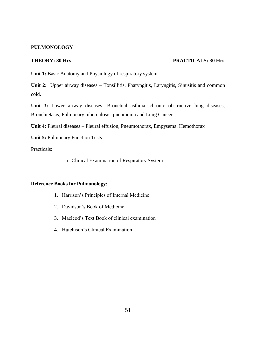#### **PULMONOLOGY**

#### **THEORY: 30 Hrs**. **PRACTICALS: 30 Hrs**

Unit 1: Basic Anatomy and Physiology of respiratory system

Unit 2: Upper airway diseases – Tonsillitis, Pharyngitis, Laryngitis, Sinusitis and common cold.

**Unit 3:** Lower airway diseases- Bronchial asthma, chronic obstructive lung diseases, Bronchietasis, Pulmonary tuberculosis, pneumonia and Lung Cancer

**Unit 4:** Pleural diseases – Pleural effusion, Pneumothorax, Empysema, Hemothorax

**Unit 5:** Pulmonary Function Tests

Practicals:

i. Clinical Examination of Respiratory System

#### **Reference Books for Pulmonology:**

- 1. Harrison's Principles of Internal Medicine
- 2. Davidson's Book of Medicine
- 3. Macleod's Text Book of clinical examination
- 4. Hutchison's Clinical Examination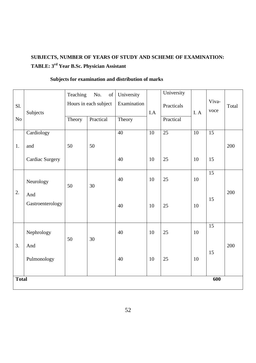# **SUBJECTS, NUMBER OF YEARS OF STUDY AND SCHEME OF EXAMINATION: TABLE: 3 rd Year B.Sc. Physician Assistant**

|          |                         | Teaching | No.<br>of             | University      |     | University      |                 |                 |       |
|----------|-------------------------|----------|-----------------------|-----------------|-----|-----------------|-----------------|-----------------|-------|
| Sl.      |                         |          | Hours in each subject | Examination     |     | Practicals      |                 | Viva-           | Total |
|          | Subjects                |          |                       |                 | I.A |                 | I. A            | voce            |       |
| $\rm No$ |                         | Theory   | Practical             | Theory          |     | Practical       |                 |                 |       |
|          | Cardiology              |          |                       | $\overline{40}$ | 10  | $\overline{25}$ | $\overline{10}$ | $\overline{15}$ |       |
| 1.       | and                     | 50       | 50                    |                 |     |                 |                 |                 | 200   |
|          | Cardiac Surgery         |          |                       | 40              | 10  | 25              | 10              | 15              |       |
|          | Neurology               | 50       | 30                    | 40              | 10  | 25              | 10              | 15              |       |
| 2.       | And<br>Gastroenterology |          |                       | 40              | 10  | 25              | 10              | 15              | 200   |
|          | Nephrology              | 50       | 30                    | 40              | 10  | 25              | 10              | $\overline{15}$ |       |
| 3.       | And<br>Pulmonology      |          |                       | 40              | 10  | 25              | 10              | 15              | 200   |
|          | 600<br><b>Total</b>     |          |                       |                 |     |                 |                 |                 |       |

# **Subjects for examination and distribution of marks**

52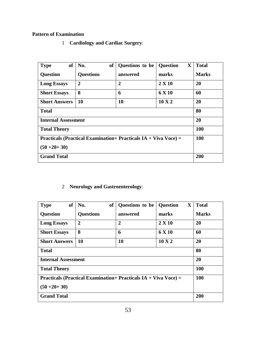### **Pattern of Examination**

1 **Cardiology and Cardiac Surgery**:

| <b>of</b><br><b>Type</b>                                               | <b>of</b><br>No. | Questions to be | X<br><b>Question</b> | <b>Total</b> |
|------------------------------------------------------------------------|------------------|-----------------|----------------------|--------------|
| <b>Question</b>                                                        | <b>Questions</b> | answered        | marks                | <b>Marks</b> |
| <b>Long Essays</b>                                                     | $\mathbf{2}$     | $\overline{2}$  | $2 \times 10$        | 20           |
| <b>Short Essays</b>                                                    | 8                | 6               | 6 X 10               | 60           |
| <b>Short Answers</b>                                                   | <b>10</b>        | 10              | $10 \text{ X } 2$    | <b>20</b>    |
| <b>Total</b>                                                           | 80               |                 |                      |              |
| <b>Internal Assessment</b>                                             | 20               |                 |                      |              |
| <b>Total Theory</b>                                                    | <b>100</b>       |                 |                      |              |
| <b>Practicals (Practical Examination+ Practicals IA + Viva Voce) =</b> | <b>100</b>       |                 |                      |              |
| $(50+20+30)$                                                           |                  |                 |                      |              |
| <b>Grand Total</b>                                                     | 200              |                 |                      |              |

2 **Neurology and Gastroenterology**:

| <b>of</b><br><b>Type</b>                                               | <b>of</b><br>No. | Questions to be | $\mathbf X$<br><b>Question</b> | <b>Total</b> |
|------------------------------------------------------------------------|------------------|-----------------|--------------------------------|--------------|
| <b>Question</b>                                                        | <b>Questions</b> | answered        | marks                          | <b>Marks</b> |
| <b>Long Essays</b>                                                     | $\overline{2}$   | $\overline{2}$  | $2 \times 10$                  | 20           |
| <b>Short Essays</b>                                                    | 8                | 6               | 6 X 10                         | 60           |
| <b>Short Answers</b>                                                   | 10               | 10              | $10 \text{ X } 2$              | 20           |
| <b>Total</b>                                                           | 80               |                 |                                |              |
| <b>Internal Assessment</b>                                             | 20               |                 |                                |              |
| <b>Total Theory</b>                                                    | <b>100</b>       |                 |                                |              |
| <b>Practicals (Practical Examination+ Practicals IA + Viva Voce) =</b> | <b>100</b>       |                 |                                |              |
| $(50+20+30)$                                                           |                  |                 |                                |              |
| <b>Grand Total</b>                                                     | 200              |                 |                                |              |